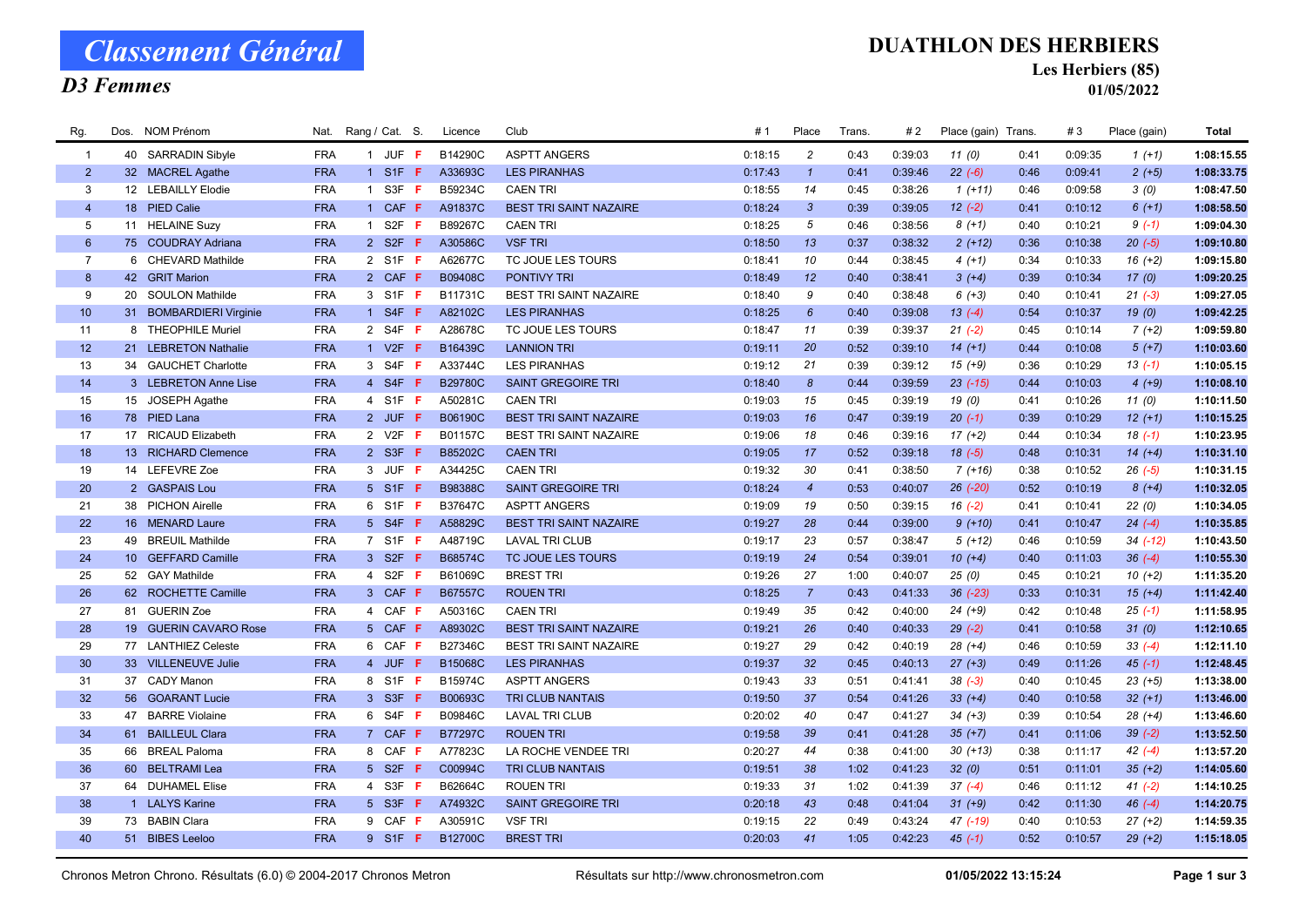## D3 Femmes

#### DUATHLON DES HERBIERS

Les Herbiers (85)

01/05/2022

| Rg.             | Dos. | NOM Prénom              | Nat.       | Rang / Cat. S.         | Licence        | Club                          | # 1     | Place                 | Trans. | #2      | Place (gain) Trans. |      | #3      | Place (gain) | Total      |
|-----------------|------|-------------------------|------------|------------------------|----------------|-------------------------------|---------|-----------------------|--------|---------|---------------------|------|---------|--------------|------------|
| $\overline{1}$  |      | 40 SARRADIN Sibyle      | <b>FRA</b> | 1 JUF F                | B14290C        | <b>ASPTT ANGERS</b>           | 0:18:15 | $\overline{c}$        | 0:43   | 0:39:03 | 11(0)               | 0:41 | 0:09:35 | $1(+1)$      | 1:08:15.55 |
| $\overline{2}$  |      | 32 MACREL Agathe        | <b>FRA</b> | $1$ S1F F              | A33693C        | <b>LES PIRANHAS</b>           | 0:17:43 | $\mathbf{1}$          | 0:41   | 0:39:46 | $22 (-6)$           | 0:46 | 0:09:41 | $2 (+5)$     | 1:08:33.75 |
| $\mathbf{3}$    |      | 12 LEBAILLY Elodie      | <b>FRA</b> | 1 S3F <b>F</b>         | B59234C        | <b>CAEN TRI</b>               | 0:18:55 | 14                    | 0:45   | 0:38:26 | $1(+11)$            | 0:46 | 0:09:58 | 3(0)         | 1:08:47.50 |
| $\overline{4}$  |      | 18 PIED Calie           | <b>FRA</b> | 1 CAF F                | A91837C        | <b>BEST TRI SAINT NAZAIRE</b> | 0:18:24 | $\mathbf{3}$          | 0:39   | 0:39:05 | $12(-2)$            | 0:41 | 0:10:12 | $6(+1)$      | 1:08:58.50 |
| $5\phantom{.0}$ |      | 11 HELAINE Suzy         | <b>FRA</b> | 1 S2F <b>F</b>         | B89267C        | <b>CAEN TRI</b>               | 0:18:25 | 5                     | 0:46   | 0:38:56 | $8(+1)$             | 0:40 | 0:10:21 | $9(-1)$      | 1:09:04.30 |
| $6^{\circ}$     |      | 75 COUDRAY Adriana      | <b>FRA</b> | 2 S2F F                | A30586C        | <b>VSF TRI</b>                | 0:18:50 | 13                    | 0:37   | 0:38:32 | $2(+12)$            | 0:36 | 0:10:38 | $20(-5)$     | 1:09:10.80 |
| $\overline{7}$  |      | 6 CHEVARD Mathilde      | <b>FRA</b> | 2 S1F F                | A62677C        | TC JOUE LES TOURS             | 0:18:41 | 10                    | 0:44   | 0:38:45 | $4(+1)$             | 0:34 | 0:10:33 | $16 (+2)$    | 1:09:15.80 |
| 8               |      | 42 GRIT Marion          | <b>FRA</b> | 2 CAF F                | B09408C        | PONTIVY TRI                   | 0:18:49 | 12                    | 0:40   | 0:38:41 | $3(+4)$             | 0:39 | 0:10:34 | 17(0)        | 1:09:20.25 |
| 9               |      | 20 SOULON Mathilde      | <b>FRA</b> | 3 S1F <b>F</b>         | B11731C        | BEST TRI SAINT NAZAIRE        | 0:18:40 | 9                     | 0:40   | 0:38:48 | $6 (+3)$            | 0:40 | 0:10:41 | $21 (-3)$    | 1:09:27.05 |
| 10 <sup>°</sup> |      | 31 BOMBARDIERI Virginie | <b>FRA</b> | 1 S4F $F$              | A82102C        | <b>LES PIRANHAS</b>           | 0:18:25 | $6\overline{6}$       | 0:40   | 0:39:08 | $13(-4)$            | 0:54 | 0:10:37 | 19(0)        | 1:09:42.25 |
| 11              |      | 8 THEOPHILE Muriel      | <b>FRA</b> | 2 S4F F                | A28678C        | TC JOUE LES TOURS             | 0:18:47 | 11                    | 0:39   | 0:39:37 | $21 (-2)$           | 0:45 | 0:10:14 | $7(+2)$      | 1:09:59.80 |
| 12              |      | 21 LEBRETON Nathalie    | <b>FRA</b> | 1 V2F $F$              | B16439C        | <b>LANNION TRI</b>            | 0:19:11 | 20                    | 0:52   | 0:39:10 | $14(+1)$            | 0:44 | 0:10:08 | $5(+7)$      | 1:10:03.60 |
| 13              |      | 34 GAUCHET Charlotte    | <b>FRA</b> | 3 S4F <b>F</b>         | A33744C        | <b>LES PIRANHAS</b>           | 0:19:12 | 21                    | 0:39   | 0:39:12 | $15(+9)$            | 0:36 | 0:10:29 | $13( -1)$    | 1:10:05.15 |
| 14              |      | 3 LEBRETON Anne Lise    | <b>FRA</b> | 4 S4F <b>F</b>         | <b>B29780C</b> | <b>SAINT GREGOIRE TRI</b>     | 0:18:40 | $\boldsymbol{\delta}$ | 0:44   | 0:39:59 | $23$ $(-15)$        | 0:44 | 0:10:03 | $4(+9)$      | 1:10:08.10 |
| 15              |      | 15 JOSEPH Agathe        | <b>FRA</b> | 4 S1F <b>F</b>         | A50281C        | <b>CAEN TRI</b>               | 0:19:03 | 15                    | 0:45   | 0:39:19 | 19(0)               | 0:41 | 0:10:26 | 11(0)        | 1:10:11.50 |
| 16              |      | 78 PIED Lana            | <b>FRA</b> | 2 JUF F                | B06190C        | <b>BEST TRI SAINT NAZAIRE</b> | 0:19:03 | 16                    | 0:47   | 0:39:19 | $20(-1)$            | 0:39 | 0:10:29 | $12 (+1)$    | 1:10:15.25 |
| 17              |      | 17 RICAUD Elizabeth     | <b>FRA</b> | 2 V2F <b>F</b>         | B01157C        | <b>BEST TRI SAINT NAZAIRE</b> | 0:19:06 | 18                    | 0:46   | 0:39:16 | $17(+2)$            | 0:44 | 0:10:34 | $18(-1)$     | 1:10:23.95 |
| 18              |      | 13 RICHARD Clemence     | <b>FRA</b> | 2 S3F <b>F</b>         | B85202C        | <b>CAEN TRI</b>               | 0:19:05 | 17                    | 0:52   | 0:39:18 | $18(-5)$            | 0:48 | 0:10:31 | $14(+4)$     | 1:10:31.10 |
| 19              |      | 14 LEFEVRE Zoe          | <b>FRA</b> | 3 JUF F                | A34425C        | <b>CAEN TRI</b>               | 0:19:32 | 30                    | 0:41   | 0:38:50 | $7(+16)$            | 0:38 | 0:10:52 | $26(-5)$     | 1:10:31.15 |
| 20              |      | 2 GASPAIS Lou           | <b>FRA</b> | 5 S1F F                | B98388C        | <b>SAINT GREGOIRE TRI</b>     | 0:18:24 | $\overline{4}$        | 0:53   | 0:40:07 | $26$ $(-20)$        | 0:52 | 0:10:19 | $8 (+4)$     | 1:10:32.05 |
| 21              |      | 38 PICHON Airelle       | <b>FRA</b> | 6 S1F <b>F</b>         | B37647C        | <b>ASPTT ANGERS</b>           | 0:19:09 | 19                    | 0:50   | 0:39:15 | $16(-2)$            | 0:41 | 0:10:41 | 22(0)        | 1:10:34.05 |
| 22              |      | 16 MENARD Laure         | <b>FRA</b> | 5 S4F F                | A58829C        | <b>BEST TRI SAINT NAZAIRE</b> | 0:19:27 | 28                    | 0:44   | 0:39:00 | $9(+10)$            | 0:41 | 0:10:47 | $24 (-4)$    | 1:10:35.85 |
| 23              |      | 49 BREUIL Mathilde      | <b>FRA</b> | 7 S1F F                | A48719C        | <b>LAVAL TRI CLUB</b>         | 0:19:17 | 23                    | 0:57   | 0:38:47 | $5(+12)$            | 0:46 | 0:10:59 | $34$ (-12)   | 1:10:43.50 |
| 24              |      | 10 GEFFARD Camille      | <b>FRA</b> | 3 S2F <b>F</b>         | B68574C        | TC JOUE LES TOURS             | 0:19:19 | 24                    | 0:54   | 0:39:01 | $10(+4)$            | 0:40 | 0:11:03 | $36(-4)$     | 1:10:55.30 |
| 25              |      | 52 GAY Mathilde         | <b>FRA</b> | 4 S2F F                | B61069C        | <b>BREST TRI</b>              | 0:19:26 | 27                    | 1:00   | 0:40:07 | 25(0)               | 0:45 | 0:10:21 | $10 (+2)$    | 1:11:35.20 |
| 26              |      | 62 ROCHETTE Camille     | <b>FRA</b> | 3 CAF F                | B67557C        | <b>ROUEN TRI</b>              | 0:18:25 | $\overline{7}$        | 0:43   | 0:41:33 | $36$ $(-23)$        | 0:33 | 0:10:31 | $15(+4)$     | 1:11:42.40 |
| 27              |      | 81 GUERIN Zoe           | <b>FRA</b> | 4 CAF F                | A50316C        | <b>CAEN TRI</b>               | 0:19:49 | 35                    | 0:42   | 0:40:00 | $24 (+9)$           | 0:42 | 0:10:48 | $25(-1)$     | 1:11:58.95 |
| 28              |      | 19 GUERIN CAVARO Rose   | <b>FRA</b> | 5 CAF F                | A89302C        | <b>BEST TRI SAINT NAZAIRE</b> | 0:19:21 | 26                    | 0:40   | 0:40:33 | $29(-2)$            | 0:41 | 0:10:58 | 31(0)        | 1:12:10.65 |
| 29              |      | 77 LANTHIEZ Celeste     | <b>FRA</b> | 6 CAF F                | B27346C        | <b>BEST TRI SAINT NAZAIRE</b> | 0:19:27 | 29                    | 0:42   | 0:40:19 | $28(+4)$            | 0:46 | 0:10:59 | $33(-4)$     | 1:12:11.10 |
| 30              |      | 33 VILLENEUVE Julie     | <b>FRA</b> | 4 JUF F                | B15068C        | <b>LES PIRANHAS</b>           | 0:19:37 | 32                    | 0:45   | 0:40:13 | $27 (+3)$           | 0:49 | 0:11:26 | $45(-1)$     | 1:12:48.45 |
| 31              |      | 37 CADY Manon           | <b>FRA</b> | 8 S1F F                | B15974C        | <b>ASPTT ANGERS</b>           | 0:19:43 | 33                    | 0:51   | 0:41:41 | $38(-3)$            | 0:40 | 0:10:45 | $23 (+5)$    | 1:13:38.00 |
| 32              |      | 56 GOARANT Lucie        | <b>FRA</b> | 3 S3F F                | B00693C        | <b>TRI CLUB NANTAIS</b>       | 0:19:50 | 37                    | 0:54   | 0:41:26 | $33 (+4)$           | 0:40 | 0:10:58 | $32 (+1)$    | 1:13:46.00 |
| 33              |      | 47 BARRE Violaine       | <b>FRA</b> | 6 S4F <b>F</b>         | B09846C        | <b>LAVAL TRI CLUB</b>         | 0:20:02 | 40                    | 0:47   | 0:41:27 | $34 (+3)$           | 0:39 | 0:10:54 | $28 (+4)$    | 1:13:46.60 |
| 34              |      | 61 BAILLEUL Clara       | <b>FRA</b> | 7 CAF F                | <b>B77297C</b> | <b>ROUEN TRI</b>              | 0:19:58 | 39                    | 0:41   | 0:41:28 | $35 (+7)$           | 0:41 | 0:11:06 | $39(-2)$     | 1:13:52.50 |
| 35              |      | 66 BREAL Paloma         | <b>FRA</b> | 8 CAF F                | A77823C        | LA ROCHE VENDEE TRI           | 0:20:27 | 44                    | 0:38   | 0:41:00 | $30(+13)$           | 0:38 | 0:11:17 | $42(-4)$     | 1:13:57.20 |
| 36              |      | 60 BELTRAMI Lea         | <b>FRA</b> | 5 S2F F                | C00994C        | <b>TRI CLUB NANTAIS</b>       | 0:19:51 | 38                    | 1:02   | 0:41:23 | 32(0)               | 0:51 | 0:11:01 | $35 (+2)$    | 1:14:05.60 |
| 37              |      | 64 DUHAMEL Elise        | <b>FRA</b> | 4 S3F <b>F</b>         | B62664C        | <b>ROUEN TRI</b>              | 0:19:33 | 31                    | 1:02   | 0:41:39 | $37(-4)$            | 0:46 | 0:11:12 | $41 (-2)$    | 1:14:10.25 |
| 38              |      | 1 LALYS Karine          | <b>FRA</b> | 5 S3F <b>F</b>         | A74932C        | <b>SAINT GREGOIRE TRI</b>     | 0:20:18 | 43                    | 0:48   | 0:41:04 | $31 (+9)$           | 0:42 | 0:11:30 | $46(-4)$     | 1:14:20.75 |
| 39              |      | 73 BABIN Clara          | <b>FRA</b> | 9 CAF F                | A30591C        | <b>VSF TRI</b>                | 0:19:15 | 22                    | 0:49   | 0:43:24 | 47 (-19)            | 0:40 | 0:10:53 | $27 (+2)$    | 1:14:59.35 |
| 40              |      | 51 BIBES Leeloo         | <b>FRA</b> | 9 S1F <b>F</b> B12700C |                | <b>BREST TRI</b>              | 0:20:03 | 41                    | 1:05   | 0:42:23 | $45(-1)$            | 0:52 | 0:10:57 | $29 (+2)$    | 1:15:18.05 |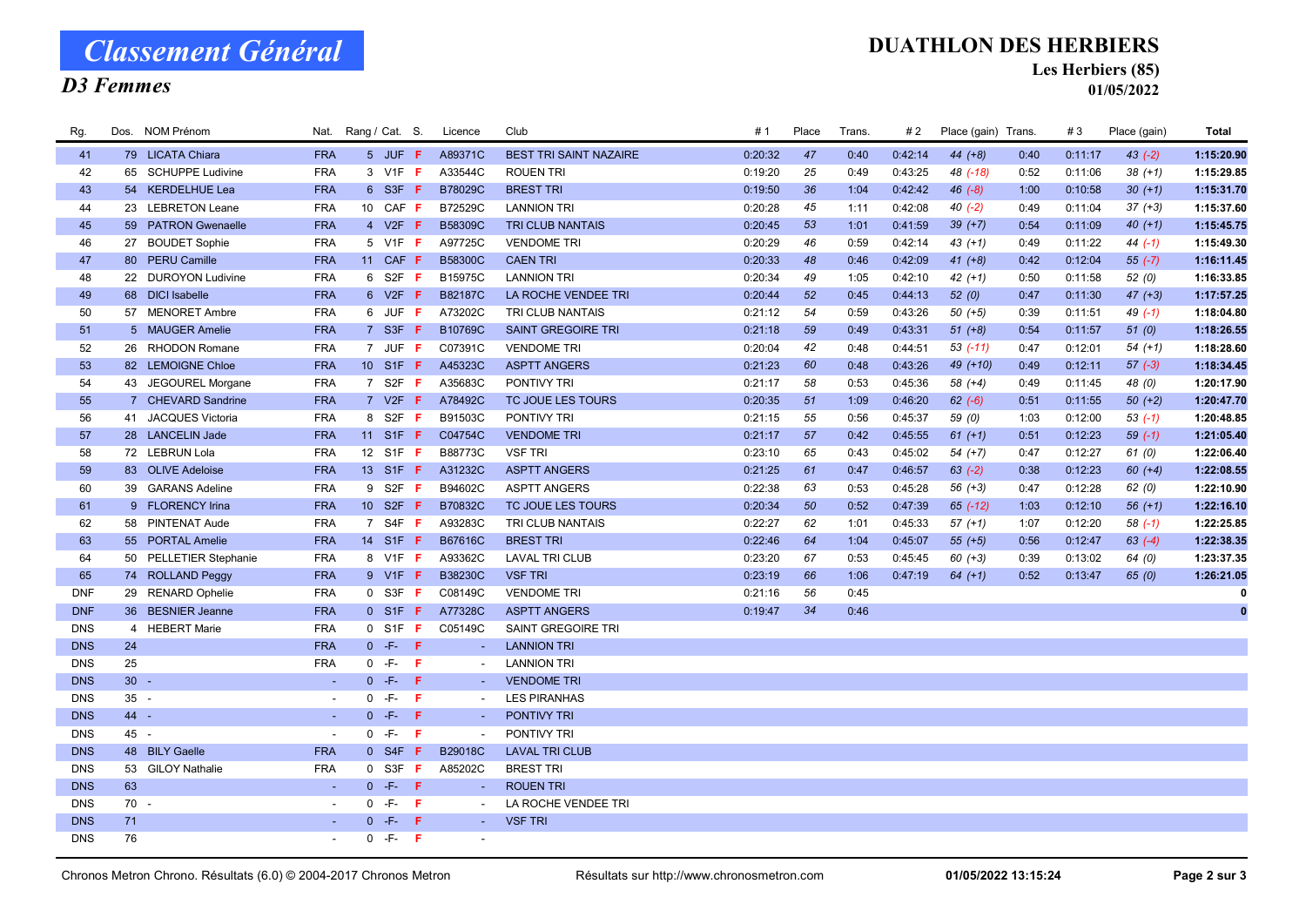# Classement Général

## D3 Femmes

#### DUATHLON DES HERBIERS

Les Herbiers (85)

01/05/2022

| Rg.        |        | Dos. NOM Prénom        |                          | Nat. Rang / Cat. S. |                 |       | Licence                  | Club                          | # 1     | Place | Trans. | # 2     | Place (gain) Trans. |      | #3      | Place (gain) | Total      |
|------------|--------|------------------------|--------------------------|---------------------|-----------------|-------|--------------------------|-------------------------------|---------|-------|--------|---------|---------------------|------|---------|--------------|------------|
| 41         |        | 79 LICATA Chiara       | <b>FRA</b>               |                     | 5 JUF F         |       | A89371C                  | <b>BEST TRI SAINT NAZAIRE</b> | 0:20:32 | 47    | 0:40   | 0:42:14 | $44 (+8)$           | 0:40 | 0:11:17 | $43(-2)$     | 1:15:20.90 |
| 42         |        | 65 SCHUPPE Ludivine    | <b>FRA</b>               |                     | 3 V1F F         |       | A33544C                  | <b>ROUEN TRI</b>              | 0:19:20 | 25    | 0:49   | 0:43:25 | 48 (-18)            | 0:52 | 0:11:06 | $38 (+1)$    | 1:15:29.85 |
| 43         |        | 54 KERDELHUE Lea       | <b>FRA</b>               |                     | 6 S3F F         |       | B78029C                  | <b>BREST TRI</b>              | 0:19:50 | 36    | 1:04   | 0:42:42 | $46(-8)$            | 1:00 | 0:10:58 | $30 (+1)$    | 1:15:31.70 |
| 44         |        | 23 LEBRETON Leane      | <b>FRA</b>               |                     | 10 CAF F        |       | B72529C                  | <b>LANNION TRI</b>            | 0:20:28 | 45    | 1:11   | 0:42:08 | $40(-2)$            | 0:49 | 0:11:04 | $37 (+3)$    | 1:15:37.60 |
| 45         |        | 59 PATRON Gwenaelle    | <b>FRA</b>               |                     | 4 V2F $F$       |       | B58309C                  | <b>TRI CLUB NANTAIS</b>       | 0:20:45 | 53    | 1:01   | 0:41:59 | $39 (+7)$           | 0:54 | 0:11:09 | $40 (+1)$    | 1:15:45.75 |
| 46         |        | 27 BOUDET Sophie       | <b>FRA</b>               |                     | 5 V1F <b>F</b>  |       | A97725C                  | <b>VENDOME TRI</b>            | 0:20:29 | 46    | 0:59   | 0:42:14 | $43 (+1)$           | 0:49 | 0:11:22 | 44 $(-1)$    | 1:15:49.30 |
| 47         |        | 80 PERU Camille        | <b>FRA</b>               |                     | 11 CAF F        |       | B58300C                  | <b>CAEN TRI</b>               | 0:20:33 | 48    | 0:46   | 0:42:09 | $41 (+8)$           | 0:42 | 0:12:04 | $55 (-7)$    | 1:16:11.45 |
| 48         |        | 22 DUROYON Ludivine    | <b>FRA</b>               |                     | 6 S2F <b>F</b>  |       | B15975C                  | <b>LANNION TRI</b>            | 0:20:34 | 49    | 1:05   | 0:42:10 | $42 (+1)$           | 0:50 | 0:11:58 | 52(0)        | 1:16:33.85 |
| 49         |        | 68 DICI Isabelle       | <b>FRA</b>               |                     | 6 V2F F         |       | <b>B82187C</b>           | LA ROCHE VENDEE TRI           | 0:20:44 | 52    | 0:45   | 0:44:13 | 52(0)               | 0:47 | 0:11:30 | $47 (+3)$    | 1:17:57.25 |
| 50         |        | 57 MENORET Ambre       | <b>FRA</b>               |                     | 6 JUF F         |       | A73202C                  | TRI CLUB NANTAIS              | 0:21:12 | 54    | 0:59   | 0:43:26 | $50 (+5)$           | 0:39 | 0:11:51 | 49 $(-1)$    | 1:18:04.80 |
| 51         |        | 5 MAUGER Amelie        | <b>FRA</b>               |                     | $7$ S3F F       |       | B10769C                  | <b>SAINT GREGOIRE TRI</b>     | 0:21:18 | 59    | 0:49   | 0:43:31 | $51 (+8)$           | 0:54 | 0:11:57 | 51(0)        | 1:18:26.55 |
| 52         |        | 26 RHODON Romane       | <b>FRA</b>               |                     | 7 JUF F         |       | C07391C                  | <b>VENDOME TRI</b>            | 0:20:04 | 42    | 0:48   | 0:44:51 | $53$ $(-11)$        | 0:47 | 0:12:01 | $54 (+1)$    | 1:18:28.60 |
| 53         |        | 82 LEMOIGNE Chloe      | <b>FRA</b>               |                     | 10 S1F F        |       | A45323C                  | <b>ASPTT ANGERS</b>           | 0:21:23 | 60    | 0:48   | 0:43:26 | 49 (+10)            | 0:49 | 0:12:11 | $57 (-3)$    | 1:18:34.45 |
| 54         |        | 43 JEGOUREL Morgane    | <b>FRA</b>               |                     | 7 S2F $F$       |       | A35683C                  | PONTIVY TRI                   | 0:21:17 | 58    | 0:53   | 0:45:36 | 58 (+4)             | 0:49 | 0:11:45 | 48 (0)       | 1:20:17.90 |
| 55         |        | 7 CHEVARD Sandrine     | <b>FRA</b>               |                     | 7 V2F F         |       | A78492C                  | TC JOUE LES TOURS             | 0:20:35 | 51    | 1:09   | 0:46:20 | $62 (-6)$           | 0:51 | 0:11:55 | $50 (+2)$    | 1:20:47.70 |
| 56         |        | 41 JACQUES Victoria    | <b>FRA</b>               |                     | 8 S2F <b>F</b>  |       | B91503C                  | PONTIVY TRI                   | 0:21:15 | 55    | 0:56   | 0:45:37 | 59 (0)              | 1:03 | 0:12:00 | $53(-1)$     | 1:20:48.85 |
| 57         |        | 28 LANCELIN Jade       | <b>FRA</b>               |                     | 11 S1F <b>F</b> |       | C04754C                  | <b>VENDOME TRI</b>            | 0:21:17 | 57    | 0:42   | 0:45:55 | $61 (+1)$           | 0:51 | 0:12:23 | $59(-1)$     | 1:21:05.40 |
| 58         |        | 72 LEBRUN Lola         | <b>FRA</b>               |                     | 12 S1F F        |       | B88773C                  | <b>VSF TRI</b>                | 0:23:10 | 65    | 0:43   | 0:45:02 | $54(+7)$            | 0:47 | 0:12:27 | 61(0)        | 1:22:06.40 |
| 59         |        | 83 OLIVE Adeloise      | <b>FRA</b>               |                     | 13 S1F <b>F</b> |       | A31232C                  | <b>ASPTT ANGERS</b>           | 0:21:25 | 61    | 0:47   | 0:46:57 | $63 (-2)$           | 0:38 | 0:12:23 | $60 (+4)$    | 1:22:08.55 |
| 60         |        | 39 GARANS Adeline      | <b>FRA</b>               |                     | 9 S2F F         |       | B94602C                  | <b>ASPTT ANGERS</b>           | 0:22:38 | 63    | 0:53   | 0:45:28 | $56(+3)$            | 0:47 | 0:12:28 | 62(0)        | 1:22:10.90 |
| 61         |        | 9 FLORENCY Irina       | <b>FRA</b>               |                     | 10 S2F F        |       | B70832C                  | TC JOUE LES TOURS             | 0:20:34 | 50    | 0:52   | 0:47:39 | 65 (-12)            | 1:03 | 0:12:10 | $56(+1)$     | 1:22:16.10 |
| 62         |        | 58 PINTENAT Aude       | <b>FRA</b>               |                     | 7 S4F <b>F</b>  |       | A93283C                  | TRI CLUB NANTAIS              | 0:22:27 | 62    | 1:01   | 0:45:33 | $57 (+1)$           | 1:07 | 0:12:20 | $58(-1)$     | 1:22:25.85 |
| 63         |        | 55 PORTAL Amelie       | <b>FRA</b>               |                     | 14 S1F F        |       | B67616C                  | <b>BREST TRI</b>              | 0:22:46 | 64    | 1:04   | 0:45:07 | $55(+5)$            | 0:56 | 0:12:47 | $63(-4)$     | 1:22:38.35 |
| 64         |        | 50 PELLETIER Stephanie | <b>FRA</b>               |                     | 8 V1F F         |       | A93362C                  | <b>LAVAL TRI CLUB</b>         | 0:23:20 | 67    | 0:53   | 0:45:45 | $60 (+3)$           | 0:39 | 0:13:02 | 64 (0)       | 1:23:37.35 |
| 65         |        | 74 ROLLAND Peggy       | <b>FRA</b>               |                     | 9 V1F F         |       | <b>B38230C</b>           | <b>VSF TRI</b>                | 0:23:19 | 66    | 1:06   | 0:47:19 | $64 (+1)$           | 0:52 | 0:13:47 | 65(0)        | 1:26:21.05 |
| <b>DNF</b> |        | 29 RENARD Ophelie      | <b>FRA</b>               |                     | $0$ S3F F       |       | C08149C                  | <b>VENDOME TRI</b>            | 0:21:16 | 56    | 0:45   |         |                     |      |         |              |            |
| <b>DNF</b> |        | 36 BESNIER Jeanne      | <b>FRA</b>               |                     | $0$ S1F F       |       | A77328C                  | <b>ASPTT ANGERS</b>           | 0:19:47 | 34    | 0:46   |         |                     |      |         |              | $\bf{0}$   |
| <b>DNS</b> |        | 4 HEBERT Marie         | <b>FRA</b>               |                     | $0$ S1F F       |       | C05149C                  | SAINT GREGOIRE TRI            |         |       |        |         |                     |      |         |              |            |
| <b>DNS</b> | 24     |                        | <b>FRA</b>               |                     | $0 - F - F$     |       | $\sim$                   | <b>LANNION TRI</b>            |         |       |        |         |                     |      |         |              |            |
| <b>DNS</b> | 25     |                        | <b>FRA</b>               |                     | $0 - F -$       | $-$ F | $\sim$                   | <b>LANNION TRI</b>            |         |       |        |         |                     |      |         |              |            |
| <b>DNS</b> | $30 -$ |                        | $\sim$                   |                     | $0 - F - F$     |       | $\sim$                   | <b>VENDOME TRI</b>            |         |       |        |         |                     |      |         |              |            |
| <b>DNS</b> | $35 -$ |                        | $\overline{\phantom{a}}$ |                     | $0 - F - F$     |       | $\sim$                   | <b>LES PIRANHAS</b>           |         |       |        |         |                     |      |         |              |            |
| <b>DNS</b> | 44 -   |                        | $\sim$                   |                     | $0 - F - F$     |       | $\sim$                   | PONTIVY TRI                   |         |       |        |         |                     |      |         |              |            |
| <b>DNS</b> | 45 -   |                        | $\overline{\phantom{a}}$ | $\mathbf{0}$        | -F-             | - F   | $\overline{\phantom{a}}$ | PONTIVY TRI                   |         |       |        |         |                     |      |         |              |            |
| <b>DNS</b> |        | 48 BILY Gaelle         | <b>FRA</b>               |                     | $0$ S4F F       |       | B29018C                  | <b>LAVAL TRI CLUB</b>         |         |       |        |         |                     |      |         |              |            |
| <b>DNS</b> |        | 53 GILOY Nathalie      | <b>FRA</b>               |                     | $0$ S3F F       |       | A85202C                  | <b>BREST TRI</b>              |         |       |        |         |                     |      |         |              |            |
| <b>DNS</b> | 63     |                        | $\sim$                   |                     | $0 - F - F$     |       | $\sim$                   | <b>ROUEN TRI</b>              |         |       |        |         |                     |      |         |              |            |
| <b>DNS</b> | 70 -   |                        | $\blacksquare$           |                     | $0 - F - F$     |       | $\sim$                   | LA ROCHE VENDEE TRI           |         |       |        |         |                     |      |         |              |            |
| <b>DNS</b> | 71     |                        | ÷.                       |                     | $0 - F -$       | - F   | $\sim$                   | <b>VSF TRI</b>                |         |       |        |         |                     |      |         |              |            |
| <b>DNS</b> | 76     |                        | $\overline{\phantom{a}}$ |                     | $0 - F - F$     |       |                          |                               |         |       |        |         |                     |      |         |              |            |